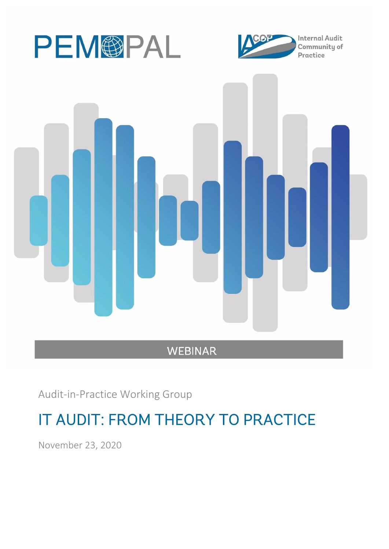





Audit-in-Practice Working Group

# IT AUDIT: FROM THEORY TO PRACTICE

November 23, 2020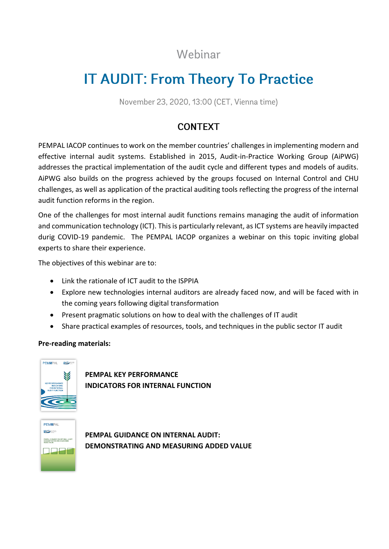## Webinar

# **IT AUDIT: From Theory To Practice**

November 23, 2020, 13:00 (CET, Vienna time)

## **CONTEXT**

PEMPAL IACOP continues to work on the member countries' challenges in implementing modern and effective internal audit systems. Established in 2015, Audit-in-Practice Working Group (AiPWG) addresses the practical implementation of the audit cycle and different types and models of audits. AiPWG also builds on the progress achieved by the groups focused on Internal Control and CHU challenges, as well as application of the practical auditing tools reflecting the progress of the internal audit function reforms in the region.

One of the challenges for most internal audit functions remains managing the audit of information and communication technology (ICT). This is particularly relevant, as ICT systems are heavily impacted durig COVID-19 pandemic. The PEMPAL IACOP organizes a webinar on this topic inviting global experts to share their experience.

The objectives of this webinar are to:

- Link the rationale of ICT audit to the ISPPIA
- Explore new technologies internal auditors are already faced now, and will be faced with in the coming years following digital transformation
- Present pragmatic solutions on how to deal with the challenges of IT audit
- Share practical examples of resources, tools, and techniques in the public sector IT audit

### **Pre-reading materials:**



**[PEMPAL KEY PERFORMANCE](https://www.pempal.org/knowledge-product/key-performance-indicators-internal-audit-functions)  [INDICATORS FOR INTERNAL FUNCTION](https://www.pempal.org/knowledge-product/key-performance-indicators-internal-audit-functions)** 



**[PEMPAL GUIDANCE ON INTERNAL AUDIT:](https://www.pempal.org/knowledge-product/pempal-guidance-internal-audit-demonstrating-and-measuring-added-value)  [DEMONSTRATING AND MEASURING ADDED VALUE](https://www.pempal.org/knowledge-product/pempal-guidance-internal-audit-demonstrating-and-measuring-added-value)**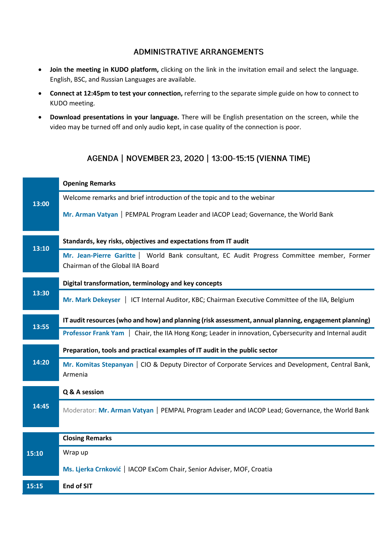## **ADMINISTRATIVE ARRANGEMENTS**

- **Join the meeting in KUDO platform,** clicking on the link in the invitation email and select the language. English, BSC, and Russian Languages are available.
- **Connect at 12:45pm to test your connection,** referring to the separate simple guide on how to connect to KUDO meeting.
- **Download presentations in your language.** There will be English presentation on the screen, while the video may be turned off and only audio kept, in case quality of the connection is poor.

## AGENDA | NOVEMBER 23, 2020 | 13:00-15:15 (VIENNA TIME)

|       | <b>Opening Remarks</b>                                                                                                          |
|-------|---------------------------------------------------------------------------------------------------------------------------------|
| 13:00 | Welcome remarks and brief introduction of the topic and to the webinar                                                          |
|       | Mr. Arman Vatyan   PEMPAL Program Leader and IACOP Lead; Governance, the World Bank                                             |
| 13:10 | Standards, key risks, objectives and expectations from IT audit                                                                 |
|       | Mr. Jean-Pierre Garitte   World Bank consultant, EC Audit Progress Committee member, Former<br>Chairman of the Global IIA Board |
| 13:30 | Digital transformation, terminology and key concepts                                                                            |
|       | Mr. Mark Dekeyser   ICT Internal Auditor, KBC; Chairman Executive Committee of the IIA, Belgium                                 |
| 13:55 | IT audit resources (who and how) and planning (risk assessment, annual planning, engagement planning)                           |
|       | Professor Frank Yam   Chair, the IIA Hong Kong; Leader in innovation, Cybersecurity and Internal audit                          |
| 14:20 | Preparation, tools and practical examples of IT audit in the public sector                                                      |
|       | Mr. Komitas Stepanyan   CIO & Deputy Director of Corporate Services and Development, Central Bank,<br>Armenia                   |
| 14:45 | Q & A session                                                                                                                   |
|       | Moderator: Mr. Arman Vatyan   PEMPAL Program Leader and IACOP Lead; Governance, the World Bank                                  |
|       | <b>Closing Remarks</b>                                                                                                          |
| 15:10 | Wrap up                                                                                                                         |
|       | Ms. Ljerka Crnković   IACOP ExCom Chair, Senior Adviser, MOF, Croatia                                                           |
| 15:15 | <b>End of SIT</b>                                                                                                               |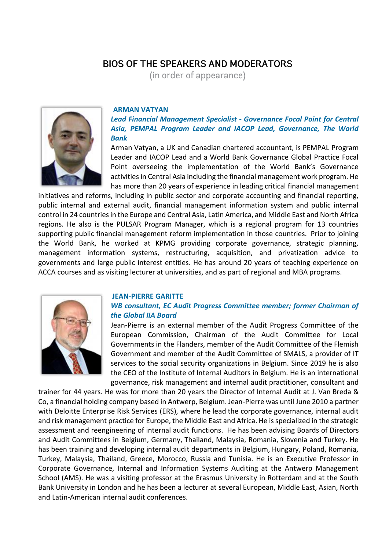## **BIOS OF THE SPEAKERS AND MODERATORS**

(in order of appearance)



#### **ARMAN VATYAN**

*Lead Financial Management Specialist - Governance Focal Point for Central Asia, PEMPAL Program Leader and IACOP Lead, Governance, The World Bank*

Arman Vatyan, a UK and Canadian chartered accountant, is PEMPAL Program Leader and IACOP Lead and a World Bank Governance Global Practice Focal Point overseeing the implementation of the World Bank's Governance activities in Central Asia including the financial management work program. He has more than 20 years of experience in leading critical financial management

initiatives and reforms, including in public sector and corporate accounting and financial reporting, public internal and external audit, financial management information system and public internal control in 24 countries in the Europe and Central Asia, Latin America, and Middle East and North Africa regions. He also is the PULSAR Program Manager, which is a regional program for 13 countries supporting public financial management reform implementation in those countries. Prior to joining the World Bank, he worked at KPMG providing corporate governance, strategic planning, management information systems, restructuring, acquisition, and privatization advice to governments and large public interest entities. He has around 20 years of teaching experience on ACCA courses and as visiting lecturer at universities, and as part of regional and MBA programs.



#### **JEAN-PIERRE GARITTE**

#### *WB consultant, EC Audit Progress Committee member; former Chairman of the Global IIA Board*

Jean-Pierre is an external member of the Audit Progress Committee of the European Commission, Chairman of the Audit Committee for Local Governments in the Flanders, member of the Audit Committee of the Flemish Government and member of the Audit Committee of SMALS, a provider of IT services to the social security organizations in Belgium. Since 2019 he is also the CEO of the Institute of Internal Auditors in Belgium. He is an international governance, risk management and internal audit practitioner, consultant and

trainer for 44 years. He was for more than 20 years the Director of Internal Audit at J. Van Breda & Co, a financial holding company based in Antwerp, Belgium. Jean-Pierre was until June 2010 a partner with Deloitte Enterprise Risk Services (ERS), where he lead the corporate governance, internal audit and risk management practice for Europe, the Middle East and Africa. He is specialized in the strategic assessment and reengineering of internal audit functions. He has been advising Boards of Directors and Audit Committees in Belgium, Germany, Thailand, Malaysia, Romania, Slovenia and Turkey. He has been training and developing internal audit departments in Belgium, Hungary, Poland, Romania, Turkey, Malaysia, Thailand, Greece, Morocco, Russia and Tunisia. He is an Executive Professor in Corporate Governance, Internal and Information Systems Auditing at the Antwerp Management School (AMS). He was a visiting professor at the Erasmus University in Rotterdam and at the South Bank University in London and he has been a lecturer at several European, Middle East, Asian, North and Latin-American internal audit conferences.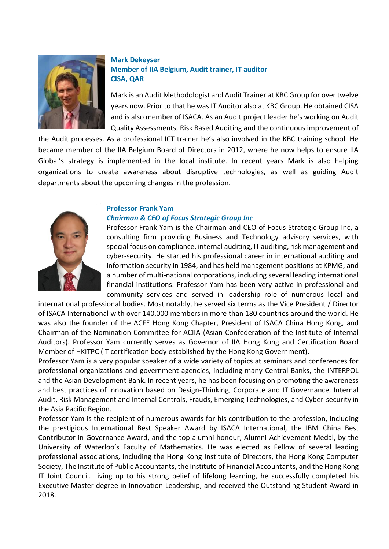

### **Mark Dekeyser Member of IIA Belgium, Audit trainer, IT auditor CISA, QAR**

Mark is an Audit Methodologist and Audit Trainer at KBC Group for over twelve years now. Prior to that he was IT Auditor also at KBC Group. He obtained CISA and is also member of ISACA. As an Audit project leader he's working on Audit Quality Assessments, Risk Based Auditing and the continuous improvement of

the Audit processes. As a professional ICT trainer he's also involved in the KBC training school. He became member of the IIA Belgium Board of Directors in 2012, where he now helps to ensure IIA Global's strategy is implemented in the local institute. In recent years Mark is also helping organizations to create awareness about disruptive technologies, as well as guiding Audit departments about the upcoming changes in the profession.



#### **Professor Frank Yam** *Chairman & CEO of Focus Strategic Group Inc*

Professor Frank Yam is the Chairman and CEO of Focus Strategic Group Inc, a consulting firm providing Business and Technology advisory services, with special focus on compliance, internal auditing, IT auditing, risk management and cyber-security. He started his professional career in international auditing and information security in 1984, and has held management positions at KPMG, and a number of multi-national corporations, including several leading international financial institutions. Professor Yam has been very active in professional and community services and served in leadership role of numerous local and

international professional bodies. Most notably, he served six terms as the Vice President / Director of ISACA International with over 140,000 members in more than 180 countries around the world. He was also the founder of the ACFE Hong Kong Chapter, President of ISACA China Hong Kong, and Chairman of the Nomination Committee for ACIIA (Asian Confederation of the Institute of Internal Auditors). Professor Yam currently serves as Governor of IIA Hong Kong and Certification Board Member of HKITPC (IT certification body established by the Hong Kong Government).

Professor Yam is a very popular speaker of a wide variety of topics at seminars and conferences for professional organizations and government agencies, including many Central Banks, the INTERPOL and the Asian Development Bank. In recent years, he has been focusing on promoting the awareness and best practices of Innovation based on Design-Thinking, Corporate and IT Governance, Internal Audit, Risk Management and Internal Controls, Frauds, Emerging Technologies, and Cyber-security in the Asia Pacific Region.

Professor Yam is the recipient of numerous awards for his contribution to the profession, including the prestigious International Best Speaker Award by ISACA International, the IBM China Best Contributor in Governance Award, and the top alumni honour, Alumni Achievement Medal, by the University of Waterloo's Faculty of Mathematics. He was elected as Fellow of several leading professional associations, including the Hong Kong Institute of Directors, the Hong Kong Computer Society, The Institute of Public Accountants, the Institute of Financial Accountants, and the Hong Kong IT Joint Council. Living up to his strong belief of lifelong learning, he successfully completed his Executive Master degree in Innovation Leadership, and received the Outstanding Student Award in 2018.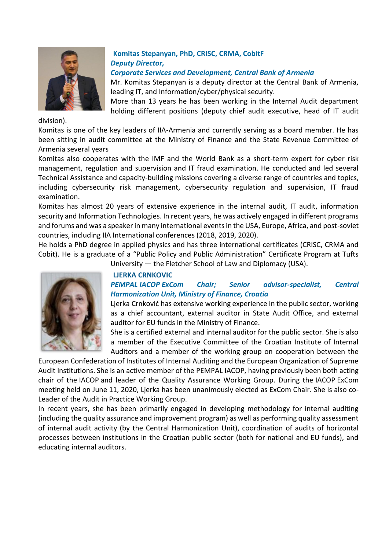

## **Komitas Stepanyan, PhD, CRISC, CRMA, CobitF** *Deputy Director,*

*Corporate Services and Development, Central Bank of Armenia*

Mr. Komitas Stepanyan is a deputy director at the Central Bank of Armenia, leading IT, and Information/cyber/physical security.

More than 13 years he has been working in the Internal Audit department holding different positions (deputy chief audit executive, head of IT audit

division).

Komitas is one of the key leaders of IIA-Armenia and currently serving as a board member. He has been sitting in audit committee at the Ministry of Finance and the State Revenue Committee of Armenia several years

Komitas also cooperates with the IMF and the World Bank as a short-term expert for cyber risk management, regulation and supervision and IT fraud examination. He conducted and led several Technical Assistance and capacity-building missions covering a diverse range of countries and topics, including cybersecurity risk management, cybersecurity regulation and supervision, IT fraud examination.

Komitas has almost 20 years of extensive experience in the internal audit, IT audit, information security and Information Technologies. In recent years, he was actively engaged in different programs and forums and was a speaker in many international events in the USA, Europe, Africa, and post-soviet countries, including IIA International conferences (2018, 2019, 2020).

He holds a PhD degree in applied physics and has three international certificates (CRISC, CRMA and Cobit). He is a graduate of a "Public Policy and Public Administration" Certificate Program at Tufts

University — the Fletcher School of Law and Diplomacy (USA).

## **LJERKA CRNKOVIC**

## *PEMPAL IACOP ExCom Chair; Senior advisor-specialist, Central Harmonization Unit, Ministry of Finance, Croatia*

Ljerka Crnković has extensive working experience in the public sector, working as a chief accountant, external auditor in State Audit Office, and external auditor for EU funds in the Ministry of Finance.

She is a certified external and internal auditor for the public sector. She is also a member of the Executive Committee of the Croatian Institute of Internal Auditors and a member of the working group on cooperation between the

European Confederation of Institutes of Internal Auditing and the European Organization of Supreme Audit Institutions. She is an active member of the PEMPAL IACOP, having previously been both acting chair of the IACOP and leader of the Quality Assurance Working Group. During the IACOP ExCom meeting held on June 11, 2020, Ljerka has been unanimously elected as ExCom Chair. She is also co-Leader of the Audit in Practice Working Group.

In recent years, she has been primarily engaged in developing methodology for internal auditing (including the quality assurance and improvement program) as well as performing quality assessment of internal audit activity (by the Central Harmonization Unit), coordination of audits of horizontal processes between institutions in the Croatian public sector (both for national and EU funds), and educating internal auditors.